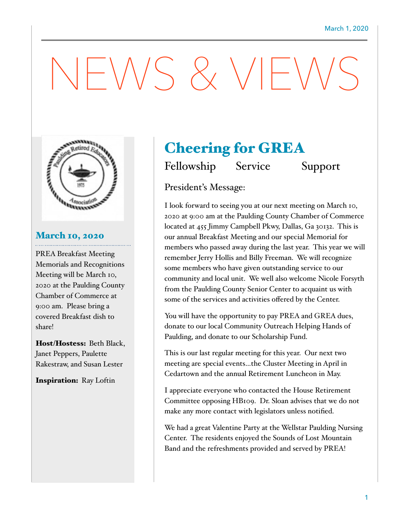# $-\bigvee\bigvee$  &  $\bigvee\bigvee\bigvee$



### March 10, 2020

PREA Breakfast Meeting Memorials and Recognitions Meeting will be March 10, 2020 at the Paulding County Chamber of Commerce at 9:00 am. Please bring a covered Breakfast dish to share!

Host/Hostess: Beth Black, Janet Peppers, Paulette Rakestraw, and Susan Lester

Inspiration: Ray Loftin

## Cheering for GREA

Fellowship Service Support

President's Message:

I look forward to seeing you at our next meeting on March 10, 2020 at 9:00 am at the Paulding County Chamber of Commerce located at 455 Jimmy Campbell Pkwy, Dallas, Ga 30132. This is our annual Breakfast Meeting and our special Memorial for members who passed away during the last year. This year we will remember Jerry Hollis and Billy Freeman. We will recognize some members who have given outstanding service to our community and local unit. We well also welcome Nicole Forsyth from the Paulding County Senior Center to acquaint us with some of the services and activities offered by the Center.

You will have the opportunity to pay PREA and GREA dues, donate to our local Community Outreach Helping Hands of Paulding, and donate to our Scholarship Fund.

This is our last regular meeting for this year. Our next two meeting are special events…the Cluster Meeting in April in Cedartown and the annual Retirement Luncheon in May.

I appreciate everyone who contacted the House Retirement Committee opposing HB109. Dr. Sloan advises that we do not make any more contact with legislators unless notified.

We had a great Valentine Party at the Wellstar Paulding Nursing Center. The residents enjoyed the Sounds of Lost Mountain Band and the refreshments provided and served by PREA!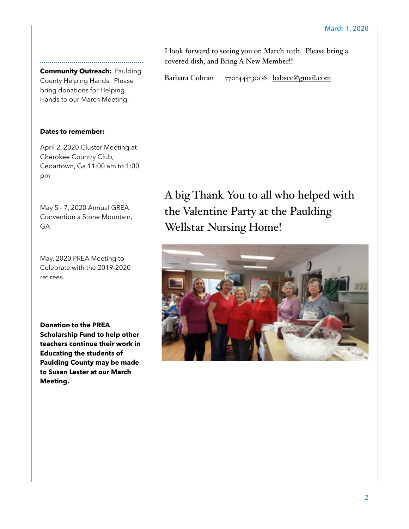**Community Outreach:** Paulding County Helping Hands. Please bring donations for Helping Hands to our March Meeting.

#### **Dates to remember:**

April 2, 2020 Cluster Meeting at Cherokee Country Club, Cedartown, Ga 11:00 am to 1:00 pm

May 5 - 7, 2020 Annual GREA Convention a Stone Mountain, GA

May, 2020 PREA Meeting to Celebrate with the 2019-2020 retirees.

**Donation to the PREA Scholarship Fund to help other teachers continue their work in Educating the students of Paulding County may be made to Susan Lester at our March Meeting.**

I look forward to seeing you on March 10th. Please bring a covered dish, and Bring A New Member!!!

Barbara Cohran 770-445-3006 [babscc@gmail.com](mailto:babscc@gmail.com)

A big Thank You to all who helped with the Valentine Party at the Paulding Wellstar Nursing Home!